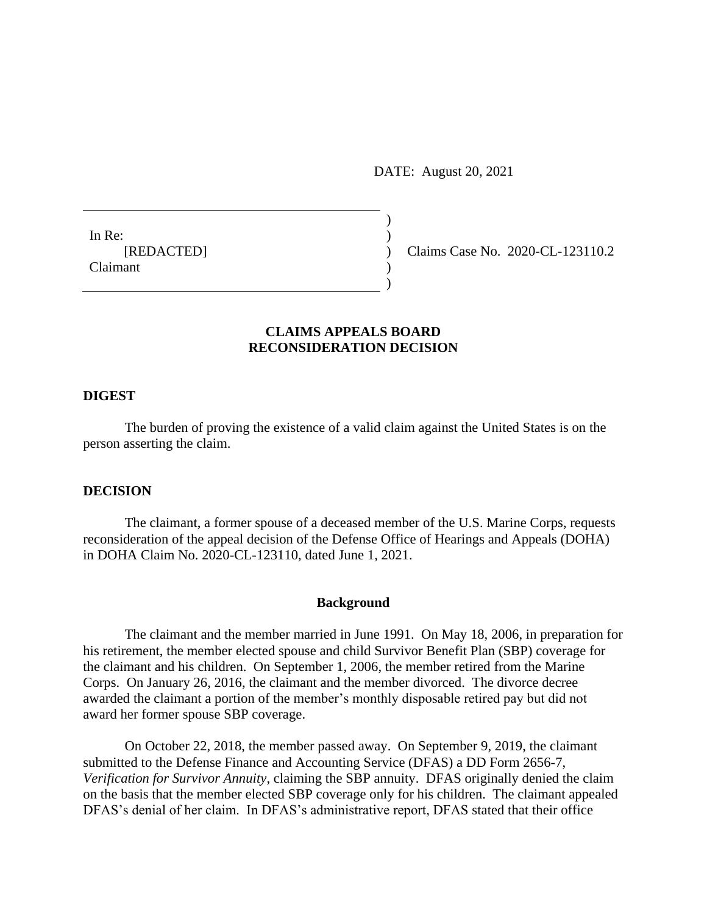DATE: August 20, 2021

 $)$ 

 $\overline{)}$ 

In Re:  $\qquad \qquad$ ) Claimant )

[REDACTED] ) Claims Case No. 2020-CL-123110.2

# **CLAIMS APPEALS BOARD RECONSIDERATION DECISION**

# **DIGEST**

The burden of proving the existence of a valid claim against the United States is on the person asserting the claim.

### **DECISION**

The claimant, a former spouse of a deceased member of the U.S. Marine Corps, requests reconsideration of the appeal decision of the Defense Office of Hearings and Appeals (DOHA) in DOHA Claim No. 2020-CL-123110, dated June 1, 2021.

## **Background**

The claimant and the member married in June 1991. On May 18, 2006, in preparation for his retirement, the member elected spouse and child Survivor Benefit Plan (SBP) coverage for the claimant and his children. On September 1, 2006, the member retired from the Marine Corps. On January 26, 2016, the claimant and the member divorced. The divorce decree awarded the claimant a portion of the member's monthly disposable retired pay but did not award her former spouse SBP coverage.

On October 22, 2018, the member passed away. On September 9, 2019, the claimant submitted to the Defense Finance and Accounting Service (DFAS) a DD Form 2656-7, *Verification for Survivor Annuity*, claiming the SBP annuity. DFAS originally denied the claim on the basis that the member elected SBP coverage only for his children. The claimant appealed DFAS's denial of her claim. In DFAS's administrative report, DFAS stated that their office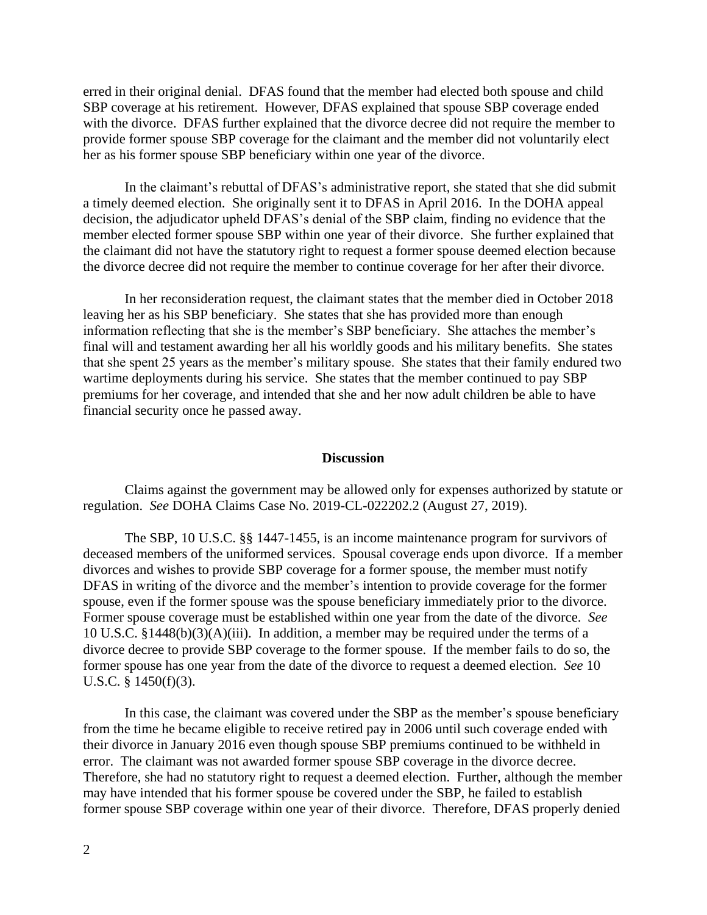erred in their original denial. DFAS found that the member had elected both spouse and child SBP coverage at his retirement. However, DFAS explained that spouse SBP coverage ended with the divorce. DFAS further explained that the divorce decree did not require the member to provide former spouse SBP coverage for the claimant and the member did not voluntarily elect her as his former spouse SBP beneficiary within one year of the divorce.

In the claimant's rebuttal of DFAS's administrative report, she stated that she did submit a timely deemed election. She originally sent it to DFAS in April 2016. In the DOHA appeal decision, the adjudicator upheld DFAS's denial of the SBP claim, finding no evidence that the member elected former spouse SBP within one year of their divorce. She further explained that the claimant did not have the statutory right to request a former spouse deemed election because the divorce decree did not require the member to continue coverage for her after their divorce.

In her reconsideration request, the claimant states that the member died in October 2018 leaving her as his SBP beneficiary. She states that she has provided more than enough information reflecting that she is the member's SBP beneficiary. She attaches the member's final will and testament awarding her all his worldly goods and his military benefits. She states that she spent 25 years as the member's military spouse. She states that their family endured two wartime deployments during his service. She states that the member continued to pay SBP premiums for her coverage, and intended that she and her now adult children be able to have financial security once he passed away.

### **Discussion**

Claims against the government may be allowed only for expenses authorized by statute or regulation. *See* DOHA Claims Case No. 2019-CL-022202.2 (August 27, 2019).

The SBP, 10 U.S.C. §§ 1447-1455, is an income maintenance program for survivors of deceased members of the uniformed services. Spousal coverage ends upon divorce. If a member divorces and wishes to provide SBP coverage for a former spouse, the member must notify DFAS in writing of the divorce and the member's intention to provide coverage for the former spouse, even if the former spouse was the spouse beneficiary immediately prior to the divorce. Former spouse coverage must be established within one year from the date of the divorce. *See*  10 U.S.C. §1448(b)(3)(A)(iii). In addition, a member may be required under the terms of a divorce decree to provide SBP coverage to the former spouse. If the member fails to do so, the former spouse has one year from the date of the divorce to request a deemed election. *See* 10 U.S.C. § 1450(f)(3).

In this case, the claimant was covered under the SBP as the member's spouse beneficiary from the time he became eligible to receive retired pay in 2006 until such coverage ended with their divorce in January 2016 even though spouse SBP premiums continued to be withheld in error. The claimant was not awarded former spouse SBP coverage in the divorce decree. Therefore, she had no statutory right to request a deemed election. Further, although the member may have intended that his former spouse be covered under the SBP, he failed to establish former spouse SBP coverage within one year of their divorce. Therefore, DFAS properly denied